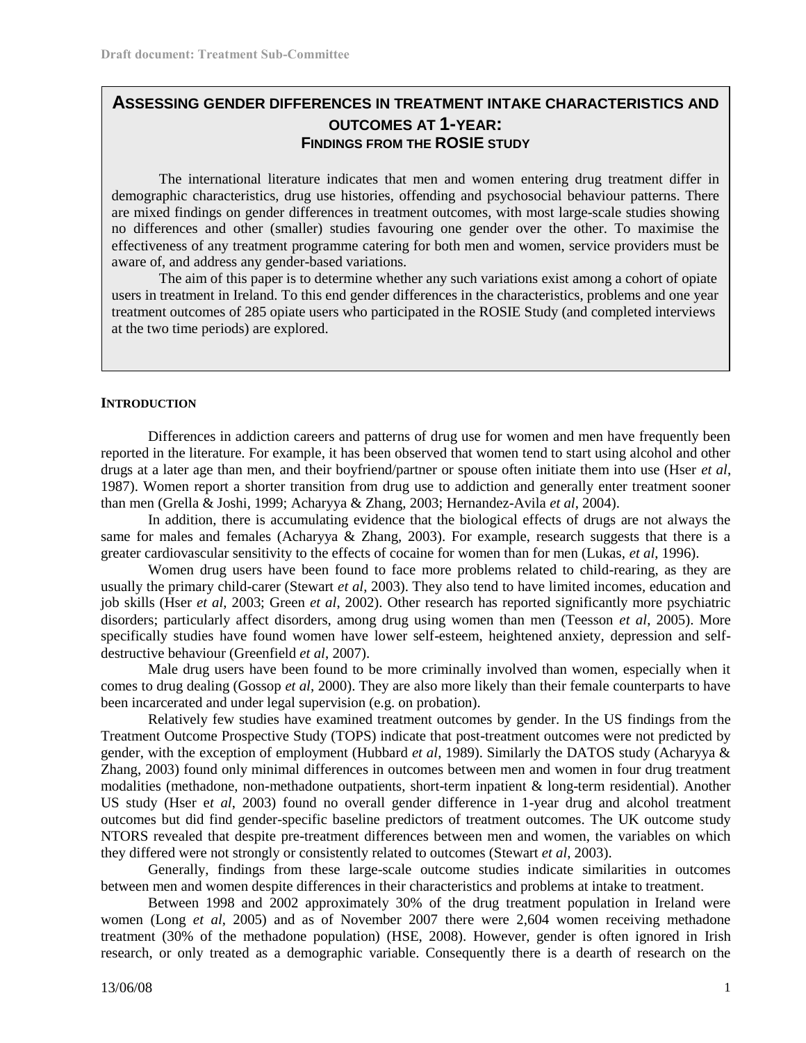# **ASSESSING GENDER DIFFERENCES IN TREATMENT INTAKE CHARACTERISTICS AND OUTCOMES AT 1-YEAR: FINDINGS FROM THE ROSIE STUDY**

The international literature indicates that men and women entering drug treatment differ in demographic characteristics, drug use histories, offending and psychosocial behaviour patterns. There are mixed findings on gender differences in treatment outcomes, with most large-scale studies showing no differences and other (smaller) studies favouring one gender over the other. To maximise the effectiveness of any treatment programme catering for both men and women, service providers must be aware of, and address any gender-based variations.

The aim of this paper is to determine whether any such variations exist among a cohort of opiate users in treatment in Ireland. To this end gender differences in the characteristics, problems and one year treatment outcomes of 285 opiate users who participated in the ROSIE Study (and completed interviews at the two time periods) are explored.

### **INTRODUCTION**

Differences in addiction careers and patterns of drug use for women and men have frequently been reported in the literature. For example, it has been observed that women tend to start using alcohol and other drugs at a later age than men, and their boyfriend/partner or spouse often initiate them into use (Hser *et al*, 1987). Women report a shorter transition from drug use to addiction and generally enter treatment sooner than men (Grella & Joshi, 1999; Acharyya & Zhang, 2003; Hernandez-Avila *et al*, 2004).

In addition, there is accumulating evidence that the biological effects of drugs are not always the same for males and females (Acharyya & Zhang, 2003). For example, research suggests that there is a greater cardiovascular sensitivity to the effects of cocaine for women than for men (Lukas, *et al*, 1996).

Women drug users have been found to face more problems related to child-rearing, as they are usually the primary child-carer (Stewart *et al*, 2003). They also tend to have limited incomes, education and job skills (Hser *et al*, 2003; Green *et al*, 2002). Other research has reported significantly more psychiatric disorders; particularly affect disorders, among drug using women than men (Teesson *et al*, 2005). More specifically studies have found women have lower self-esteem, heightened anxiety, depression and selfdestructive behaviour (Greenfield *et al*, 2007).

Male drug users have been found to be more criminally involved than women, especially when it comes to drug dealing (Gossop *et al*, 2000). They are also more likely than their female counterparts to have been incarcerated and under legal supervision (e.g. on probation).

Relatively few studies have examined treatment outcomes by gender. In the US findings from the Treatment Outcome Prospective Study (TOPS) indicate that post-treatment outcomes were not predicted by gender, with the exception of employment (Hubbard *et al*, 1989). Similarly the DATOS study (Acharyya & Zhang, 2003) found only minimal differences in outcomes between men and women in four drug treatment modalities (methadone, non-methadone outpatients, short-term inpatient & long-term residential). Another US study (Hser e*t al*, 2003) found no overall gender difference in 1-year drug and alcohol treatment outcomes but did find gender-specific baseline predictors of treatment outcomes. The UK outcome study NTORS revealed that despite pre-treatment differences between men and women, the variables on which they differed were not strongly or consistently related to outcomes (Stewart *et al*, 2003).

Generally, findings from these large-scale outcome studies indicate similarities in outcomes between men and women despite differences in their characteristics and problems at intake to treatment.

Between 1998 and 2002 approximately 30% of the drug treatment population in Ireland were women (Long *et al*, 2005) and as of November 2007 there were 2,604 women receiving methadone treatment (30% of the methadone population) (HSE, 2008). However, gender is often ignored in Irish research, or only treated as a demographic variable. Consequently there is a dearth of research on the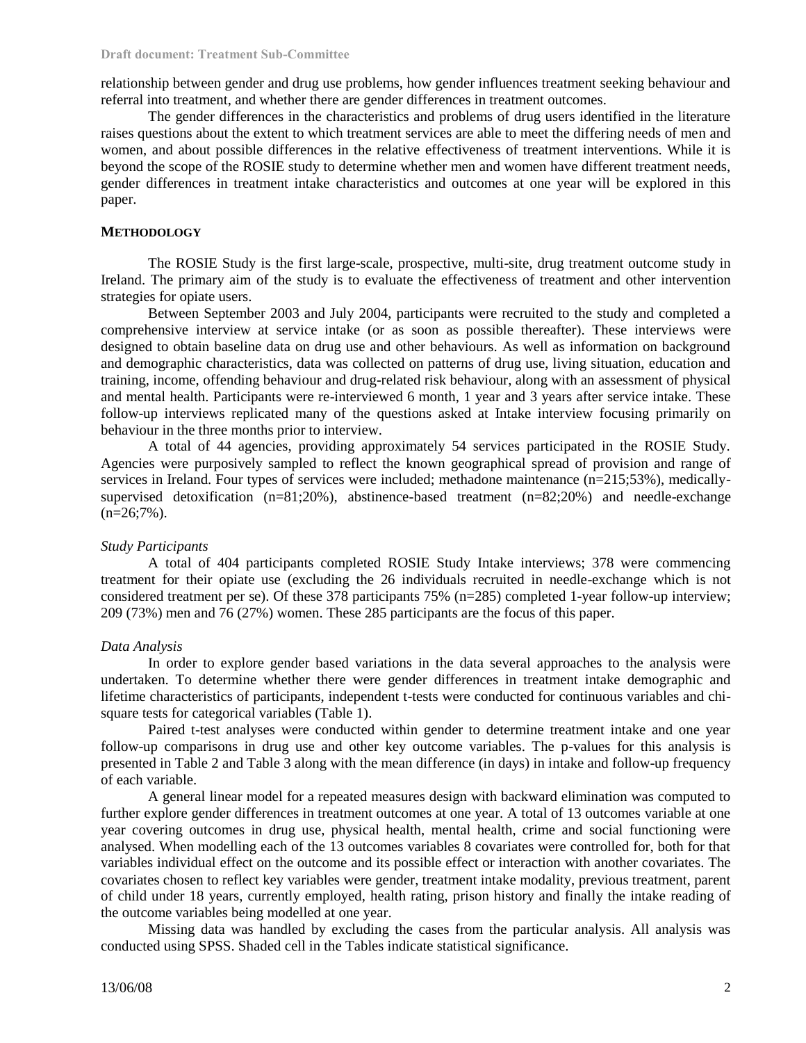relationship between gender and drug use problems, how gender influences treatment seeking behaviour and referral into treatment, and whether there are gender differences in treatment outcomes.

The gender differences in the characteristics and problems of drug users identified in the literature raises questions about the extent to which treatment services are able to meet the differing needs of men and women, and about possible differences in the relative effectiveness of treatment interventions. While it is beyond the scope of the ROSIE study to determine whether men and women have different treatment needs, gender differences in treatment intake characteristics and outcomes at one year will be explored in this paper.

### **METHODOLOGY**

The ROSIE Study is the first large-scale, prospective, multi-site, drug treatment outcome study in Ireland. The primary aim of the study is to evaluate the effectiveness of treatment and other intervention strategies for opiate users.

Between September 2003 and July 2004, participants were recruited to the study and completed a comprehensive interview at service intake (or as soon as possible thereafter). These interviews were designed to obtain baseline data on drug use and other behaviours. As well as information on background and demographic characteristics, data was collected on patterns of drug use, living situation, education and training, income, offending behaviour and drug-related risk behaviour, along with an assessment of physical and mental health. Participants were re-interviewed 6 month, 1 year and 3 years after service intake. These follow-up interviews replicated many of the questions asked at Intake interview focusing primarily on behaviour in the three months prior to interview.

A total of 44 agencies, providing approximately 54 services participated in the ROSIE Study. Agencies were purposively sampled to reflect the known geographical spread of provision and range of services in Ireland. Four types of services were included; methadone maintenance (n=215;53%), medicallysupervised detoxification (n=81;20%), abstinence-based treatment (n=82;20%) and needle-exchange  $(n=26;7\%)$ .

### *Study Participants*

A total of 404 participants completed ROSIE Study Intake interviews; 378 were commencing treatment for their opiate use (excluding the 26 individuals recruited in needle-exchange which is not considered treatment per se). Of these 378 participants 75% (n=285) completed 1-year follow-up interview; 209 (73%) men and 76 (27%) women. These 285 participants are the focus of this paper.

#### *Data Analysis*

In order to explore gender based variations in the data several approaches to the analysis were undertaken. To determine whether there were gender differences in treatment intake demographic and lifetime characteristics of participants, independent t-tests were conducted for continuous variables and chisquare tests for categorical variables (Table 1).

Paired t-test analyses were conducted within gender to determine treatment intake and one year follow-up comparisons in drug use and other key outcome variables. The p-values for this analysis is presented in Table 2 and Table 3 along with the mean difference (in days) in intake and follow-up frequency of each variable.

A general linear model for a repeated measures design with backward elimination was computed to further explore gender differences in treatment outcomes at one year. A total of 13 outcomes variable at one year covering outcomes in drug use, physical health, mental health, crime and social functioning were analysed. When modelling each of the 13 outcomes variables 8 covariates were controlled for, both for that variables individual effect on the outcome and its possible effect or interaction with another covariates. The covariates chosen to reflect key variables were gender, treatment intake modality, previous treatment, parent of child under 18 years, currently employed, health rating, prison history and finally the intake reading of the outcome variables being modelled at one year.

Missing data was handled by excluding the cases from the particular analysis. All analysis was conducted using SPSS. Shaded cell in the Tables indicate statistical significance.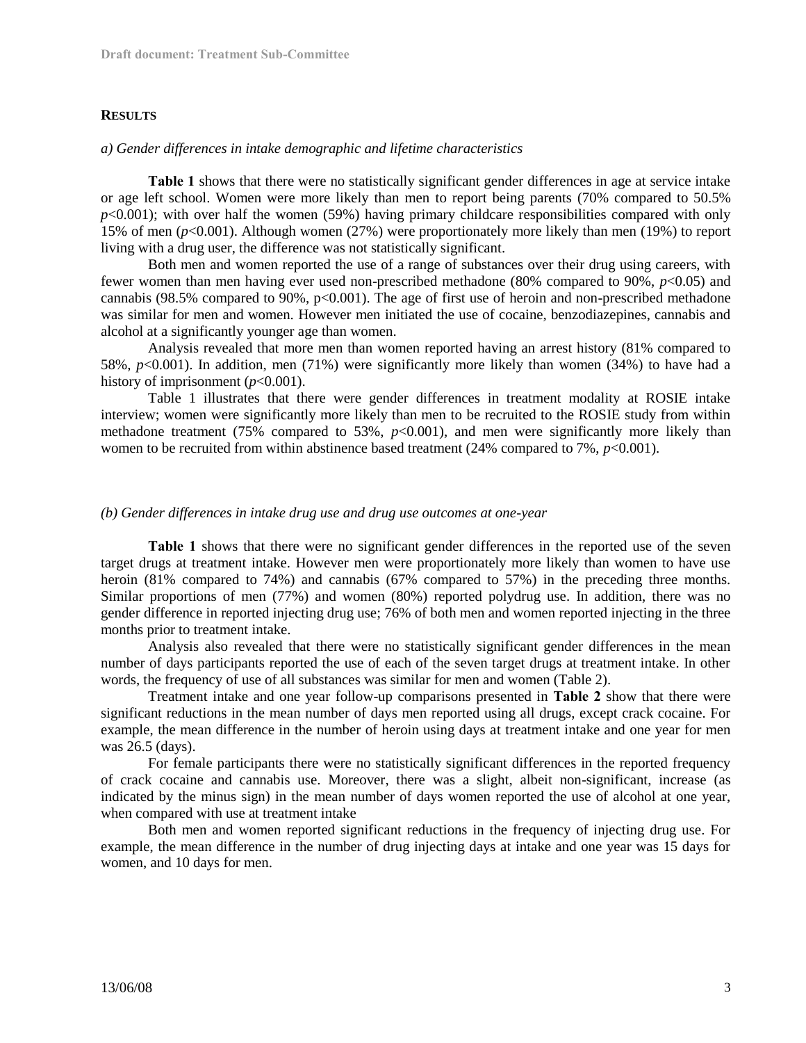### **RESULTS**

### *a) Gender differences in intake demographic and lifetime characteristics*

**Table 1** shows that there were no statistically significant gender differences in age at service intake or age left school. Women were more likely than men to report being parents (70% compared to 50.5%  $p<0.001$ ); with over half the women (59%) having primary childcare responsibilities compared with only 15% of men (*p*<0.001). Although women (27%) were proportionately more likely than men (19%) to report living with a drug user, the difference was not statistically significant.

Both men and women reported the use of a range of substances over their drug using careers, with fewer women than men having ever used non-prescribed methadone (80% compared to 90%, *p*<0.05) and cannabis (98.5% compared to 90%,  $p<0.001$ ). The age of first use of heroin and non-prescribed methadone was similar for men and women. However men initiated the use of cocaine, benzodiazepines, cannabis and alcohol at a significantly younger age than women.

Analysis revealed that more men than women reported having an arrest history (81% compared to 58%, *p*<0.001). In addition, men (71%) were significantly more likely than women (34%) to have had a history of imprisonment  $(p<0.001)$ .

Table 1 illustrates that there were gender differences in treatment modality at ROSIE intake interview; women were significantly more likely than men to be recruited to the ROSIE study from within methadone treatment (75% compared to 53%,  $p<0.001$ ), and men were significantly more likely than women to be recruited from within abstinence based treatment  $(24%$  compared to 7%,  $p<0.001$ ).

### *(b) Gender differences in intake drug use and drug use outcomes at one-year*

**Table 1** shows that there were no significant gender differences in the reported use of the seven target drugs at treatment intake. However men were proportionately more likely than women to have use heroin (81% compared to 74%) and cannabis (67% compared to 57%) in the preceding three months. Similar proportions of men (77%) and women (80%) reported polydrug use. In addition, there was no gender difference in reported injecting drug use; 76% of both men and women reported injecting in the three months prior to treatment intake.

Analysis also revealed that there were no statistically significant gender differences in the mean number of days participants reported the use of each of the seven target drugs at treatment intake. In other words, the frequency of use of all substances was similar for men and women (Table 2).

Treatment intake and one year follow-up comparisons presented in **Table 2** show that there were significant reductions in the mean number of days men reported using all drugs, except crack cocaine. For example, the mean difference in the number of heroin using days at treatment intake and one year for men was 26.5 (days).

For female participants there were no statistically significant differences in the reported frequency of crack cocaine and cannabis use. Moreover, there was a slight, albeit non-significant, increase (as indicated by the minus sign) in the mean number of days women reported the use of alcohol at one year, when compared with use at treatment intake

Both men and women reported significant reductions in the frequency of injecting drug use. For example, the mean difference in the number of drug injecting days at intake and one year was 15 days for women, and 10 days for men.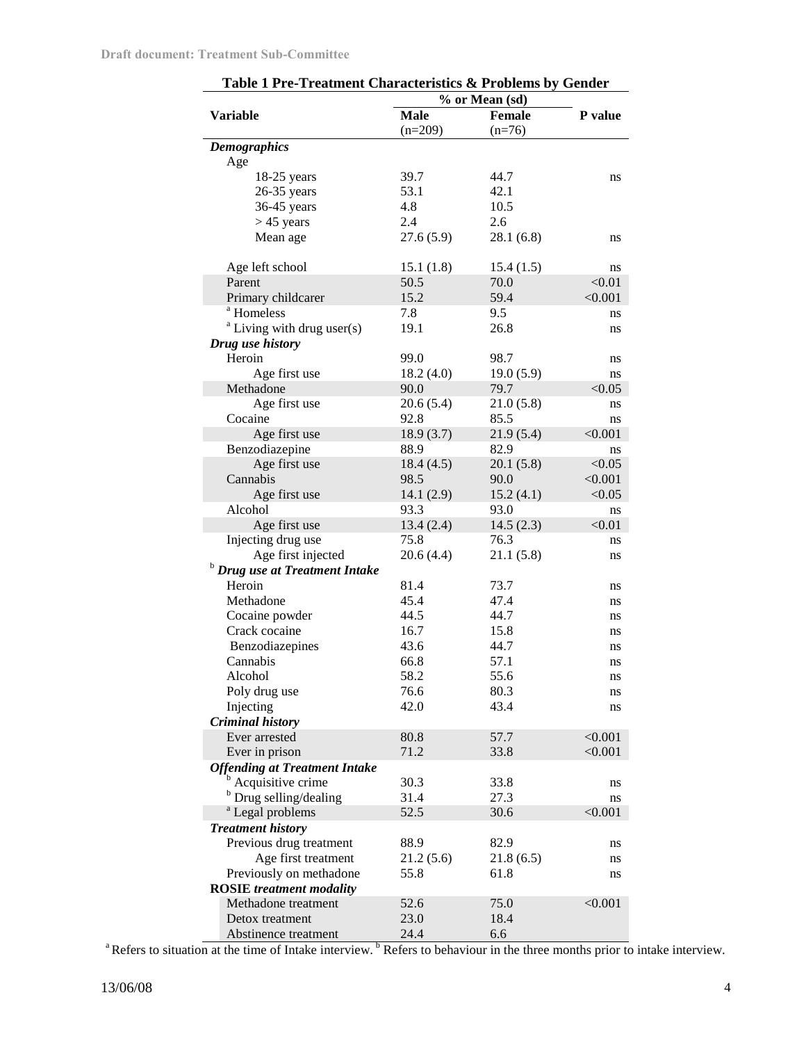|                                      | % or Mean (sd) |               |         |  |
|--------------------------------------|----------------|---------------|---------|--|
| <b>Variable</b>                      | <b>Male</b>    | <b>Female</b> | P value |  |
|                                      | $(n=209)$      | $(n=76)$      |         |  |
| <b>Demographics</b>                  |                |               |         |  |
| Age                                  |                |               |         |  |
| $18-25$ years                        | 39.7           | 44.7          | ns      |  |
| 26-35 years                          | 53.1           | 42.1          |         |  |
| 36-45 years                          | 4.8            | 10.5          |         |  |
| $> 45$ years                         | 2.4            | 2.6           |         |  |
| Mean age                             | 27.6(5.9)      | 28.1(6.8)     | ns      |  |
|                                      |                |               |         |  |
| Age left school                      | 15.1(1.8)      | 15.4(1.5)     | ns      |  |
| Parent                               | 50.5           | 70.0          | < 0.01  |  |
| Primary childcarer                   | 15.2           | 59.4          | < 0.001 |  |
| <sup>a</sup> Homeless                | 7.8            | 9.5           | ns      |  |
| $a$ Living with drug user(s)         | 19.1           | 26.8          | ns      |  |
| Drug use history                     |                |               |         |  |
| Heroin                               | 99.0           | 98.7          | ns      |  |
| Age first use                        | 18.2(4.0)      | 19.0(5.9)     | ns      |  |
| Methadone                            | 90.0           | 79.7          | < 0.05  |  |
| Age first use                        | 20.6(5.4)      | 21.0(5.8)     | ns      |  |
| Cocaine                              | 92.8           | 85.5          |         |  |
|                                      |                |               | ns      |  |
| Age first use                        | 18.9(3.7)      | 21.9(5.4)     | < 0.001 |  |
| Benzodiazepine                       | 88.9           | 82.9          | ns      |  |
| Age first use                        | 18.4(4.5)      | 20.1(5.8)     | < 0.05  |  |
| Cannabis                             | 98.5           | 90.0          | < 0.001 |  |
| Age first use                        | 14.1(2.9)      | 15.2(4.1)     | < 0.05  |  |
| Alcohol                              | 93.3           | 93.0          | ns      |  |
| Age first use                        | 13.4(2.4)      | 14.5(2.3)     | < 0.01  |  |
| Injecting drug use                   | 75.8           | 76.3          | ns      |  |
| Age first injected                   | 20.6(4.4)      | 21.1(5.8)     | ns      |  |
| <b>Drug use at Treatment Intake</b>  |                |               |         |  |
| Heroin                               | 81.4           | 73.7          | ns      |  |
| Methadone                            | 45.4           | 47.4          | ns      |  |
| Cocaine powder                       | 44.5           | 44.7          | ns      |  |
| Crack cocaine                        | 16.7           | 15.8          | ns      |  |
| Benzodiazepines                      | 43.6           | 44.7          | ns      |  |
| Cannabis                             | 66.8           | 57.1          | ns      |  |
| Alcohol                              | 58.2           | 55.6          | ns      |  |
| Poly drug use                        | 76.6           | 80.3          | ns      |  |
| Injecting                            | 42.0           | 43.4          | ns      |  |
| <b>Criminal history</b>              |                |               |         |  |
| Ever arrested                        | 80.8           | 57.7          | < 0.001 |  |
| Ever in prison                       | 71.2           | 33.8          | < 0.001 |  |
| <b>Offending at Treatment Intake</b> |                |               |         |  |
| <sup>b</sup> Acquisitive crime       | 30.3           | 33.8          | ns      |  |
| Drug selling/dealing                 | 31.4           | 27.3          | ns      |  |
| <sup>a</sup> Legal problems          | 52.5           | 30.6          | < 0.001 |  |
| <b>Treatment history</b>             |                |               |         |  |
| Previous drug treatment              | 88.9           | 82.9          | ns      |  |
| Age first treatment                  | 21.2 (5.6)     | 21.8(6.5)     | ns      |  |
| Previously on methadone              | 55.8           | 61.8          | ns      |  |
| <b>ROSIE</b> treatment modality      |                |               |         |  |
| Methadone treatment                  | 52.6           | 75.0          | < 0.001 |  |
| Detox treatment                      | 23.0           | 18.4          |         |  |
|                                      | 24.4           | 6.6           |         |  |
| Abstinence treatment                 |                |               |         |  |

**Table 1 Pre-Treatment Characteristics & Problems by Gender**

<sup>a</sup>Refers to situation at the time of Intake interview.  $\frac{b}{c}$ Refers to behaviour in the three months prior to intake interview.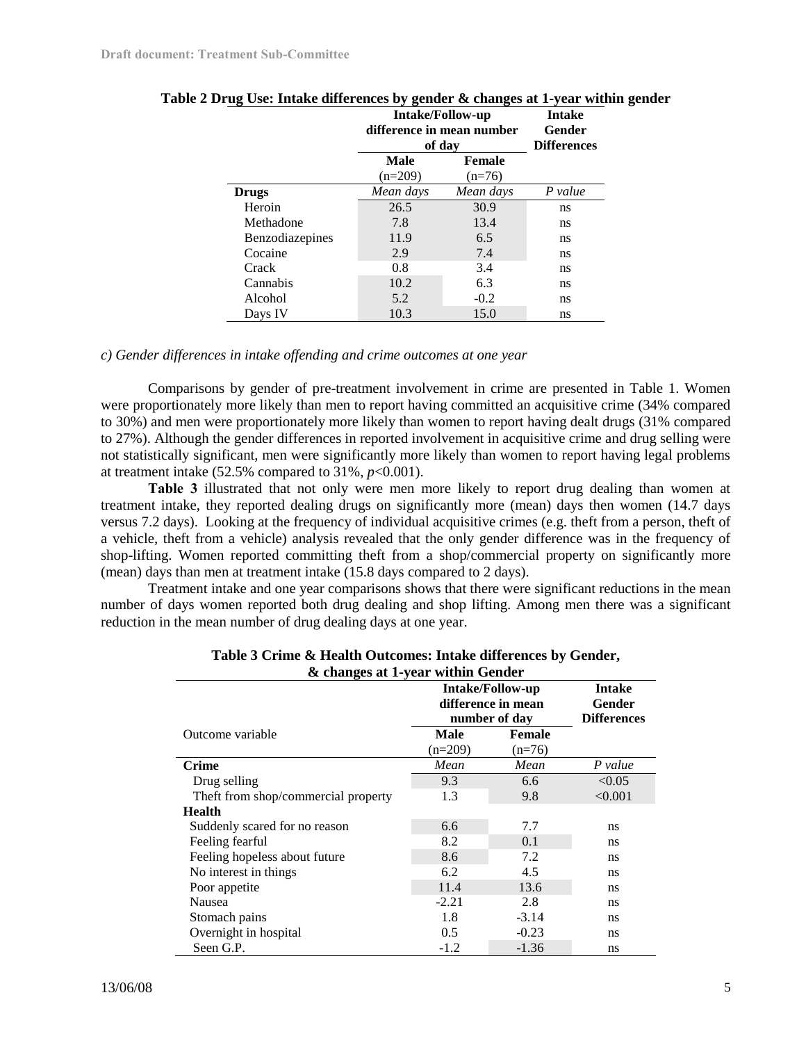|                        | <b>Intake/Follow-up</b><br>difference in mean number<br>of day |                           | <b>Intake</b><br>Gender<br><b>Differences</b> |  |
|------------------------|----------------------------------------------------------------|---------------------------|-----------------------------------------------|--|
|                        | Male<br>$(n=209)$                                              | <b>Female</b><br>$(n=76)$ |                                               |  |
| <b>Drugs</b>           | Mean days                                                      | Mean days                 | P value                                       |  |
| Heroin                 | 26.5                                                           | 30.9                      | ns                                            |  |
| Methadone              | 7.8                                                            | 13.4                      | ns                                            |  |
| <b>Benzodiazepines</b> | 11.9                                                           | 6.5                       | ns                                            |  |
| Cocaine                | 2.9                                                            | 7.4                       | ns                                            |  |
| Crack                  | 0.8                                                            | 3.4                       | ns                                            |  |
| Cannabis               | 10.2                                                           | 6.3                       | ns                                            |  |
| Alcohol                | 5.2                                                            | $-0.2$                    | ns                                            |  |
| Days IV                | 10.3                                                           | 15.0                      | ns                                            |  |

| Table 2 Drug Use: Intake differences by gender & changes at 1-year within gender |  |  |
|----------------------------------------------------------------------------------|--|--|
|                                                                                  |  |  |

# *c) Gender differences in intake offending and crime outcomes at one year*

Comparisons by gender of pre-treatment involvement in crime are presented in Table 1. Women were proportionately more likely than men to report having committed an acquisitive crime (34% compared to 30%) and men were proportionately more likely than women to report having dealt drugs (31% compared to 27%). Although the gender differences in reported involvement in acquisitive crime and drug selling were not statistically significant, men were significantly more likely than women to report having legal problems at treatment intake  $(52.5\%$  compared to  $31\%, p<0.001$ ).

**Table 3** illustrated that not only were men more likely to report drug dealing than women at treatment intake, they reported dealing drugs on significantly more (mean) days then women (14.7 days versus 7.2 days). Looking at the frequency of individual acquisitive crimes (e.g. theft from a person, theft of a vehicle, theft from a vehicle) analysis revealed that the only gender difference was in the frequency of shop-lifting. Women reported committing theft from a shop/commercial property on significantly more (mean) days than men at treatment intake (15.8 days compared to 2 days).

Treatment intake and one year comparisons shows that there were significant reductions in the mean number of days women reported both drug dealing and shop lifting. Among men there was a significant reduction in the mean number of drug dealing days at one year.

| & changes at 1-year within Gender   |                                                                |                                               |         |  |  |
|-------------------------------------|----------------------------------------------------------------|-----------------------------------------------|---------|--|--|
|                                     | <b>Intake/Follow-up</b><br>difference in mean<br>number of day | <b>Intake</b><br>Gender<br><b>Differences</b> |         |  |  |
| Outcome variable                    | Male<br>$(n=209)$                                              | <b>Female</b><br>$(n=76)$                     |         |  |  |
| <b>Crime</b>                        | Mean                                                           | Mean                                          | P value |  |  |
| Drug selling                        | 9.3                                                            | 6.6                                           | < 0.05  |  |  |
| Theft from shop/commercial property | 1.3                                                            | 9.8                                           | < 0.001 |  |  |
| <b>Health</b>                       |                                                                |                                               |         |  |  |
| Suddenly scared for no reason       | 6.6                                                            | 7.7                                           | ns      |  |  |
| Feeling fearful                     | 8.2                                                            | 0.1                                           | ns      |  |  |
| Feeling hopeless about future       | 8.6                                                            | 7.2                                           | ns      |  |  |
| No interest in things               | 6.2                                                            | 4.5                                           | ns      |  |  |
| Poor appetite                       | 11.4                                                           | 13.6                                          | ns      |  |  |
| Nausea                              | $-2.21$                                                        | 2.8                                           | ns      |  |  |
| Stomach pains                       | 1.8                                                            | $-3.14$                                       | ns      |  |  |
| Overnight in hospital               | 0.5                                                            | $-0.23$                                       | ns      |  |  |
| Seen G.P.                           | $-1.2$                                                         | $-1.36$                                       | ns      |  |  |

| Table 3 Crime & Health Outcomes: Intake differences by Gender, |                                   |  |  |
|----------------------------------------------------------------|-----------------------------------|--|--|
|                                                                | & changes at 1-year within Gender |  |  |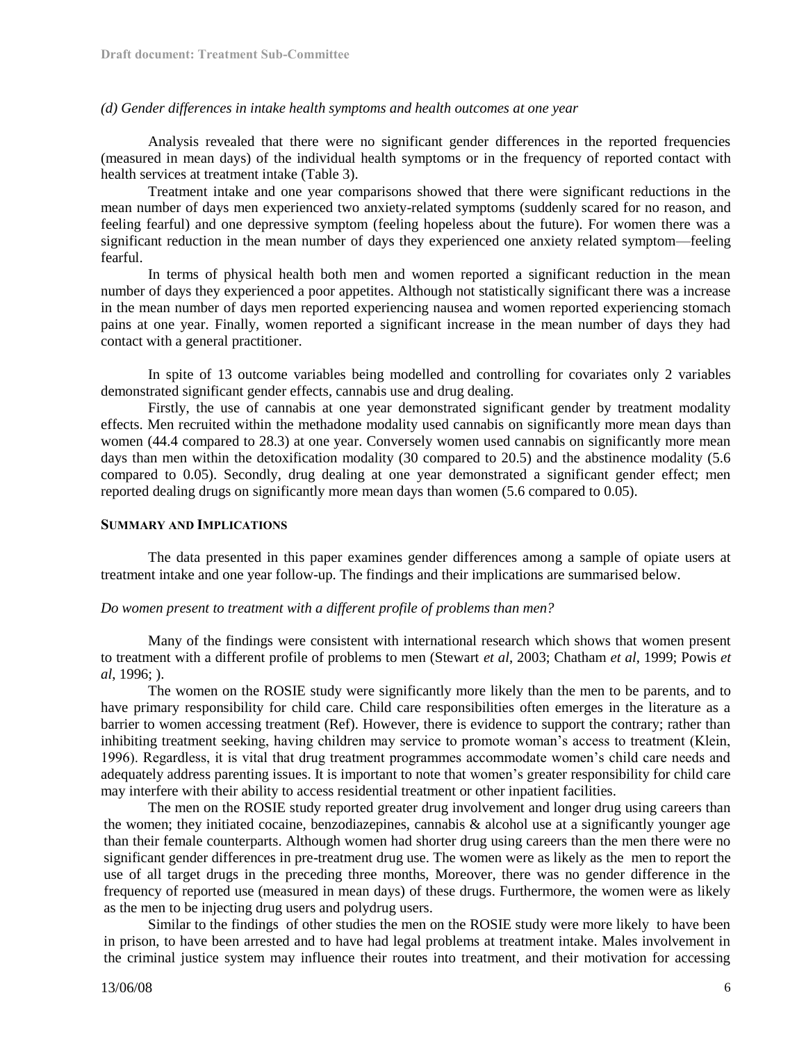### *(d) Gender differences in intake health symptoms and health outcomes at one year*

Analysis revealed that there were no significant gender differences in the reported frequencies (measured in mean days) of the individual health symptoms or in the frequency of reported contact with health services at treatment intake (Table 3).

Treatment intake and one year comparisons showed that there were significant reductions in the mean number of days men experienced two anxiety-related symptoms (suddenly scared for no reason, and feeling fearful) and one depressive symptom (feeling hopeless about the future). For women there was a significant reduction in the mean number of days they experienced one anxiety related symptom—feeling fearful.

In terms of physical health both men and women reported a significant reduction in the mean number of days they experienced a poor appetites. Although not statistically significant there was a increase in the mean number of days men reported experiencing nausea and women reported experiencing stomach pains at one year. Finally, women reported a significant increase in the mean number of days they had contact with a general practitioner.

In spite of 13 outcome variables being modelled and controlling for covariates only 2 variables demonstrated significant gender effects, cannabis use and drug dealing.

Firstly, the use of cannabis at one year demonstrated significant gender by treatment modality effects. Men recruited within the methadone modality used cannabis on significantly more mean days than women (44.4 compared to 28.3) at one year. Conversely women used cannabis on significantly more mean days than men within the detoxification modality (30 compared to 20.5) and the abstinence modality (5.6) compared to 0.05). Secondly, drug dealing at one year demonstrated a significant gender effect; men reported dealing drugs on significantly more mean days than women (5.6 compared to 0.05).

### **SUMMARY AND IMPLICATIONS**

The data presented in this paper examines gender differences among a sample of opiate users at treatment intake and one year follow-up. The findings and their implications are summarised below.

### *Do women present to treatment with a different profile of problems than men?*

Many of the findings were consistent with international research which shows that women present to treatment with a different profile of problems to men (Stewart *et al*, 2003; Chatham *et al*, 1999; Powis *et al*, 1996; ).

The women on the ROSIE study were significantly more likely than the men to be parents, and to have primary responsibility for child care. Child care responsibilities often emerges in the literature as a barrier to women accessing treatment (Ref). However, there is evidence to support the contrary; rather than inhibiting treatment seeking, having children may service to promote woman's access to treatment (Klein, 1996). Regardless, it is vital that drug treatment programmes accommodate women's child care needs and adequately address parenting issues. It is important to note that women's greater responsibility for child care may interfere with their ability to access residential treatment or other inpatient facilities.

The men on the ROSIE study reported greater drug involvement and longer drug using careers than the women; they initiated cocaine, benzodiazepines, cannabis & alcohol use at a significantly younger age than their female counterparts. Although women had shorter drug using careers than the men there were no significant gender differences in pre-treatment drug use. The women were as likely as the men to report the use of all target drugs in the preceding three months, Moreover, there was no gender difference in the frequency of reported use (measured in mean days) of these drugs. Furthermore, the women were as likely as the men to be injecting drug users and polydrug users.

Similar to the findings of other studies the men on the ROSIE study were more likely to have been in prison, to have been arrested and to have had legal problems at treatment intake. Males involvement in the criminal justice system may influence their routes into treatment, and their motivation for accessing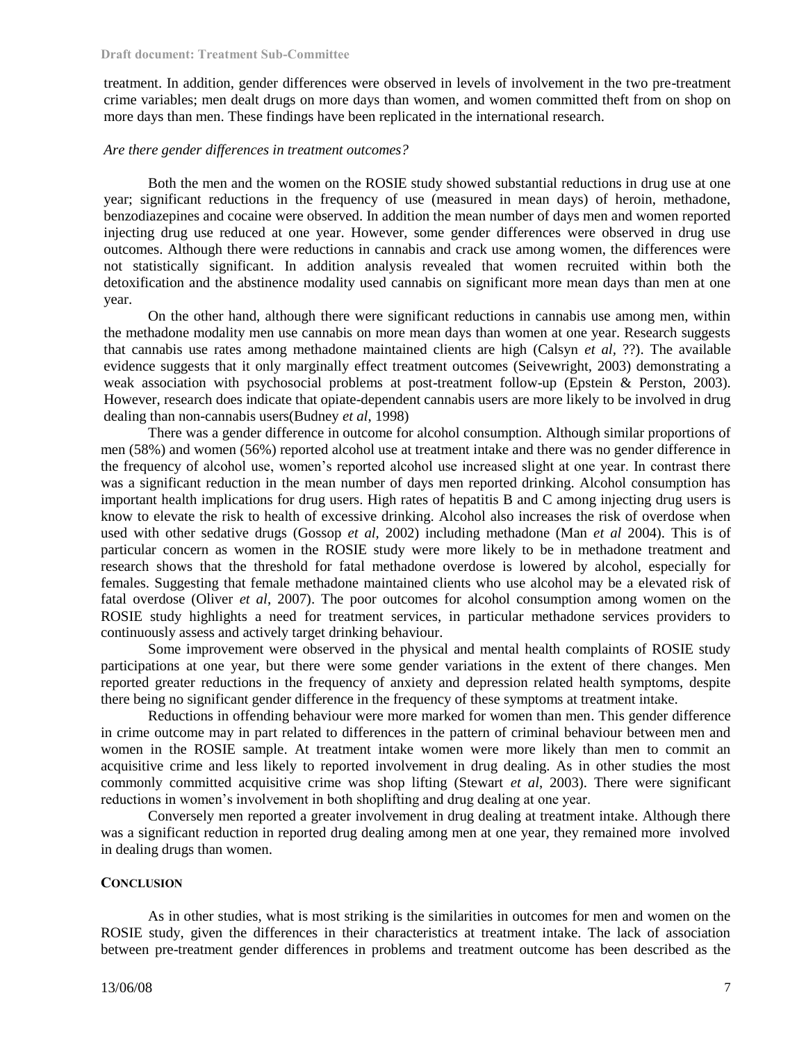treatment. In addition, gender differences were observed in levels of involvement in the two pre-treatment crime variables; men dealt drugs on more days than women, and women committed theft from on shop on more days than men. These findings have been replicated in the international research.

### *Are there gender differences in treatment outcomes?*

Both the men and the women on the ROSIE study showed substantial reductions in drug use at one year; significant reductions in the frequency of use (measured in mean days) of heroin, methadone, benzodiazepines and cocaine were observed. In addition the mean number of days men and women reported injecting drug use reduced at one year. However, some gender differences were observed in drug use outcomes. Although there were reductions in cannabis and crack use among women, the differences were not statistically significant. In addition analysis revealed that women recruited within both the detoxification and the abstinence modality used cannabis on significant more mean days than men at one year.

On the other hand, although there were significant reductions in cannabis use among men, within the methadone modality men use cannabis on more mean days than women at one year. Research suggests that cannabis use rates among methadone maintained clients are high (Calsyn *et al,* ??). The available evidence suggests that it only marginally effect treatment outcomes (Seivewright, 2003) demonstrating a weak association with psychosocial problems at post-treatment follow-up (Epstein & Perston, 2003). However, research does indicate that opiate-dependent cannabis users are more likely to be involved in drug dealing than non-cannabis users(Budney *et al*, 1998)

There was a gender difference in outcome for alcohol consumption. Although similar proportions of men (58%) and women (56%) reported alcohol use at treatment intake and there was no gender difference in the frequency of alcohol use, women's reported alcohol use increased slight at one year. In contrast there was a significant reduction in the mean number of days men reported drinking. Alcohol consumption has important health implications for drug users. High rates of hepatitis B and C among injecting drug users is know to elevate the risk to health of excessive drinking. Alcohol also increases the risk of overdose when used with other sedative drugs (Gossop *et al,* 2002) including methadone (Man *et al* 2004). This is of particular concern as women in the ROSIE study were more likely to be in methadone treatment and research shows that the threshold for fatal methadone overdose is lowered by alcohol, especially for females. Suggesting that female methadone maintained clients who use alcohol may be a elevated risk of fatal overdose (Oliver *et al*, 2007). The poor outcomes for alcohol consumption among women on the ROSIE study highlights a need for treatment services, in particular methadone services providers to continuously assess and actively target drinking behaviour.

Some improvement were observed in the physical and mental health complaints of ROSIE study participations at one year, but there were some gender variations in the extent of there changes. Men reported greater reductions in the frequency of anxiety and depression related health symptoms, despite there being no significant gender difference in the frequency of these symptoms at treatment intake.

Reductions in offending behaviour were more marked for women than men. This gender difference in crime outcome may in part related to differences in the pattern of criminal behaviour between men and women in the ROSIE sample. At treatment intake women were more likely than men to commit an acquisitive crime and less likely to reported involvement in drug dealing. As in other studies the most commonly committed acquisitive crime was shop lifting (Stewart *et al*, 2003). There were significant reductions in women's involvement in both shoplifting and drug dealing at one year.

Conversely men reported a greater involvement in drug dealing at treatment intake. Although there was a significant reduction in reported drug dealing among men at one year, they remained more involved in dealing drugs than women.

### **CONCLUSION**

As in other studies, what is most striking is the similarities in outcomes for men and women on the ROSIE study, given the differences in their characteristics at treatment intake. The lack of association between pre-treatment gender differences in problems and treatment outcome has been described as the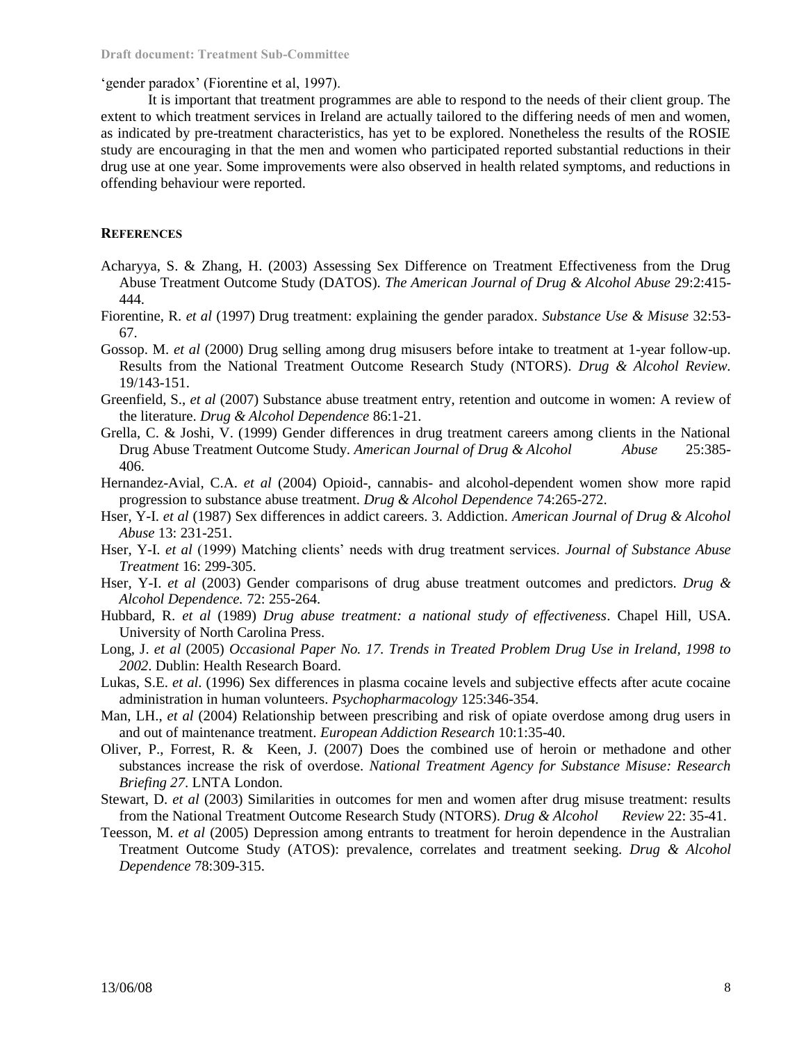'gender paradox' (Fiorentine et al, 1997).

It is important that treatment programmes are able to respond to the needs of their client group. The extent to which treatment services in Ireland are actually tailored to the differing needs of men and women, as indicated by pre-treatment characteristics, has yet to be explored. Nonetheless the results of the ROSIE study are encouraging in that the men and women who participated reported substantial reductions in their drug use at one year. Some improvements were also observed in health related symptoms, and reductions in offending behaviour were reported.

## **REFERENCES**

- Acharyya, S. & Zhang, H. (2003) Assessing Sex Difference on Treatment Effectiveness from the Drug Abuse Treatment Outcome Study (DATOS). *The American Journal of Drug & Alcohol Abuse* 29:2:415- 444.
- Fiorentine, R. *et al* (1997) Drug treatment: explaining the gender paradox. *Substance Use & Misuse* 32:53- 67.
- Gossop. M. *et al* (2000) Drug selling among drug misusers before intake to treatment at 1-year follow-up. Results from the National Treatment Outcome Research Study (NTORS). *Drug & Alcohol Review.* 19/143-151.
- Greenfield, S., *et al* (2007) Substance abuse treatment entry, retention and outcome in women: A review of the literature. *Drug & Alcohol Dependence* 86:1-21.
- Grella, C. & Joshi, V. (1999) Gender differences in drug treatment careers among clients in the National Drug Abuse Treatment Outcome Study. *American Journal of Drug & Alcohol Abuse* 25:385- 406.
- Hernandez-Avial, C.A. *et al* (2004) Opioid-, cannabis- and alcohol-dependent women show more rapid progression to substance abuse treatment. *Drug & Alcohol Dependence* 74:265-272.
- Hser, Y-I. *et al* (1987) Sex differences in addict careers. 3. Addiction. *American Journal of Drug & Alcohol Abuse* 13: 231-251.
- Hser, Y-I. *et al* (1999) Matching clients' needs with drug treatment services. *Journal of Substance Abuse Treatment* 16: 299-305.
- Hser, Y-I. *et al* (2003) Gender comparisons of drug abuse treatment outcomes and predictors. *Drug & Alcohol Dependence.* 72: 255-264.
- Hubbard, R. *et al* (1989) *Drug abuse treatment: a national study of effectiveness*. Chapel Hill, USA. University of North Carolina Press.
- Long, J. *et al* (2005) *Occasional Paper No. 17. Trends in Treated Problem Drug Use in Ireland, 1998 to 2002*. Dublin: Health Research Board.
- Lukas, S.E. *et al*. (1996) Sex differences in plasma cocaine levels and subjective effects after acute cocaine administration in human volunteers. *Psychopharmacology* 125:346-354.
- Man, LH., *et al* (2004) Relationship between prescribing and risk of opiate overdose among drug users in and out of maintenance treatment. *European Addiction Research* 10:1:35-40.
- Oliver, P., Forrest, R. & Keen, J. (2007) Does the combined use of heroin or methadone and other substances increase the risk of overdose. *National Treatment Agency for Substance Misuse: Research Briefing 27*. LNTA London.
- Stewart, D. *et al* (2003) Similarities in outcomes for men and women after drug misuse treatment: results from the National Treatment Outcome Research Study (NTORS). *Drug & Alcohol Review* 22: 35-41.
- Teesson, M. *et al* (2005) Depression among entrants to treatment for heroin dependence in the Australian Treatment Outcome Study (ATOS): prevalence, correlates and treatment seeking. *Drug & Alcohol Dependence* 78:309-315.